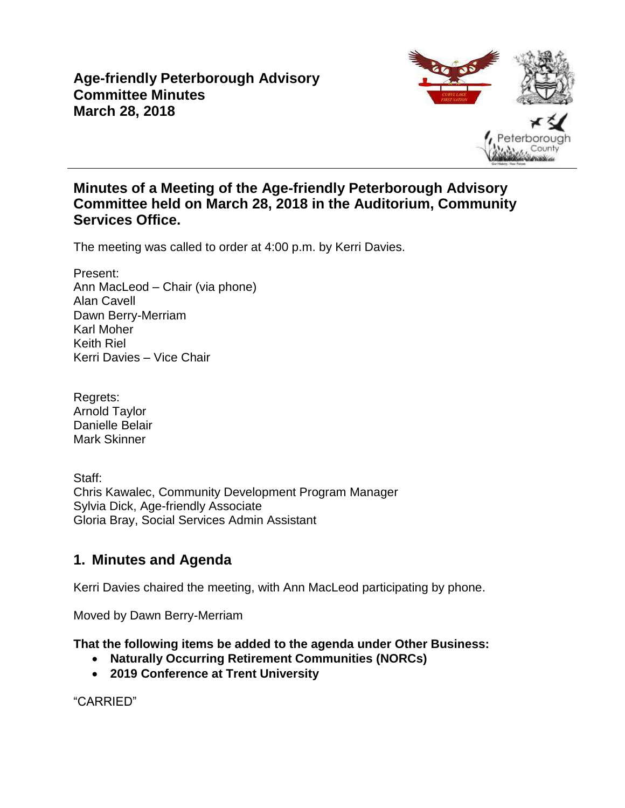# **Age-friendly Peterborough Advisory Committee Minutes March 28, 2018**



# **Minutes of a Meeting of the Age-friendly Peterborough Advisory Committee held on March 28, 2018 in the Auditorium, Community Services Office.**

The meeting was called to order at 4:00 p.m. by Kerri Davies.

Present: Ann MacLeod – Chair (via phone) Alan Cavell Dawn Berry-Merriam Karl Moher Keith Riel Kerri Davies – Vice Chair

Regrets: Arnold Taylor Danielle Belair Mark Skinner

Staff: Chris Kawalec, Community Development Program Manager Sylvia Dick, Age-friendly Associate Gloria Bray, Social Services Admin Assistant

# **1. Minutes and Agenda**

Kerri Davies chaired the meeting, with Ann MacLeod participating by phone.

Moved by Dawn Berry-Merriam

**That the following items be added to the agenda under Other Business:**

- **Naturally Occurring Retirement Communities (NORCs)**
- **2019 Conference at Trent University**

"CARRIED"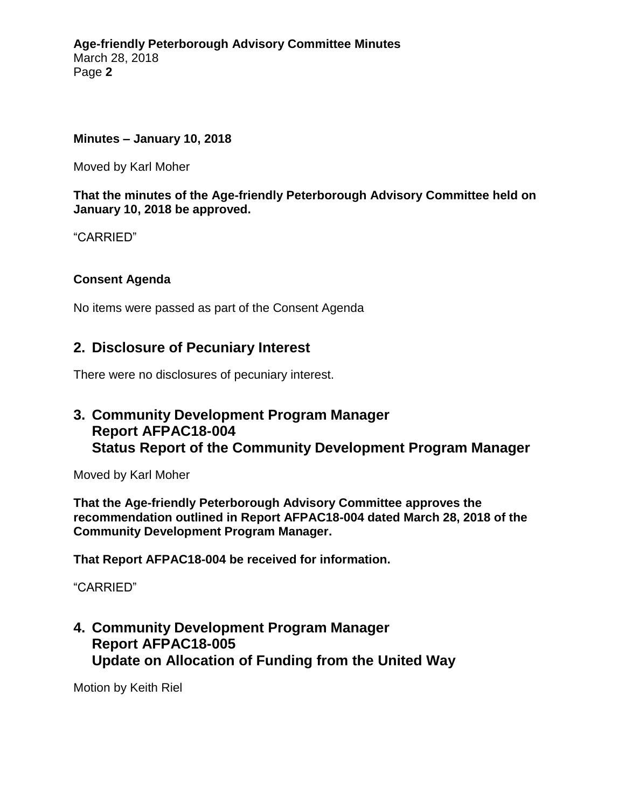#### **Minutes – January 10, 2018**

Moved by Karl Moher

**That the minutes of the Age-friendly Peterborough Advisory Committee held on January 10, 2018 be approved.**

"CARRIED"

### **Consent Agenda**

No items were passed as part of the Consent Agenda

### **2. Disclosure of Pecuniary Interest**

There were no disclosures of pecuniary interest.

### **3. Community Development Program Manager Report AFPAC18-004 Status Report of the Community Development Program Manager**

Moved by Karl Moher

**That the Age-friendly Peterborough Advisory Committee approves the recommendation outlined in Report AFPAC18-004 dated March 28, 2018 of the Community Development Program Manager.**

**That Report AFPAC18-004 be received for information.**

"CARRIED"

# **4. Community Development Program Manager Report AFPAC18-005 Update on Allocation of Funding from the United Way**

Motion by Keith Riel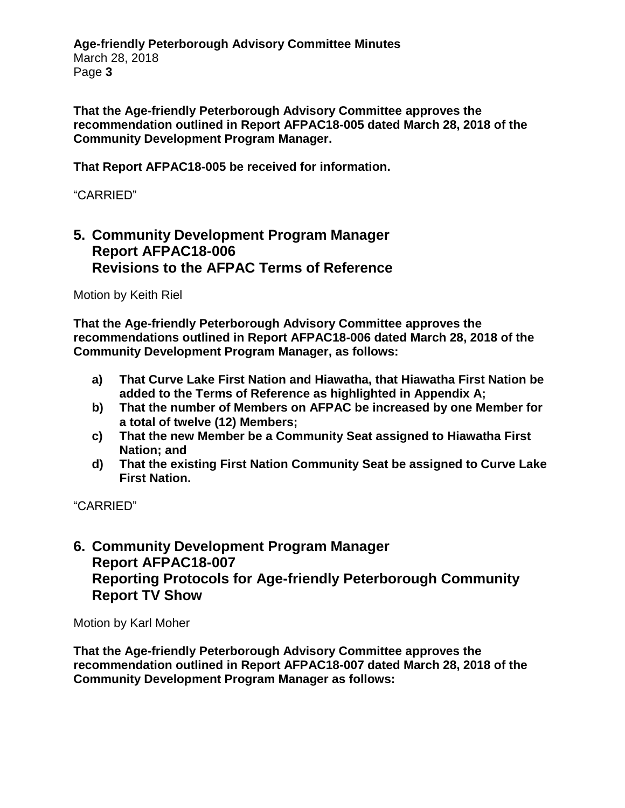**Age-friendly Peterborough Advisory Committee Minutes** March 28, 2018 Page **3**

**That the Age-friendly Peterborough Advisory Committee approves the recommendation outlined in Report AFPAC18-005 dated March 28, 2018 of the Community Development Program Manager.**

**That Report AFPAC18-005 be received for information.**

### "CARRIED"

### **5. Community Development Program Manager Report AFPAC18-006 Revisions to the AFPAC Terms of Reference**

Motion by Keith Riel

**That the Age-friendly Peterborough Advisory Committee approves the recommendations outlined in Report AFPAC18-006 dated March 28, 2018 of the Community Development Program Manager, as follows:**

- **a) That Curve Lake First Nation and Hiawatha, that Hiawatha First Nation be added to the Terms of Reference as highlighted in Appendix A;**
- **b) That the number of Members on AFPAC be increased by one Member for a total of twelve (12) Members;**
- **c) That the new Member be a Community Seat assigned to Hiawatha First Nation; and**
- **d) That the existing First Nation Community Seat be assigned to Curve Lake First Nation.**

"CARRIED"

# **6. Community Development Program Manager Report AFPAC18-007 Reporting Protocols for Age-friendly Peterborough Community Report TV Show**

Motion by Karl Moher

**That the Age-friendly Peterborough Advisory Committee approves the recommendation outlined in Report AFPAC18-007 dated March 28, 2018 of the Community Development Program Manager as follows:**